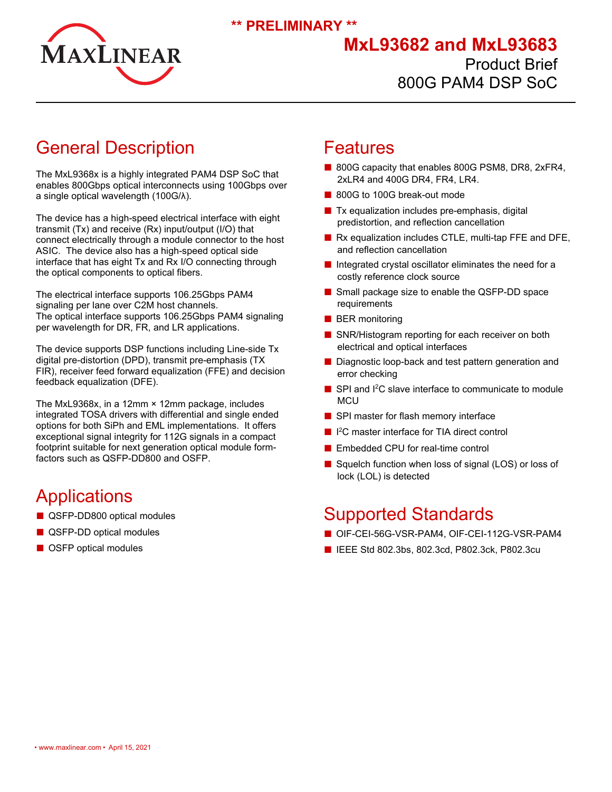

**\*\* PRELIMINARY \*\***

## **MxL93682 and MxL93683** Product Brief 800G PAM4 DSP SoC

# General Description

The MxL9368x is a highly integrated PAM4 DSP SoC that enables 800Gbps optical interconnects using 100Gbps over a single optical wavelength (100G/λ).

The device has a high-speed electrical interface with eight transmit (Tx) and receive (Rx) input/output (I/O) that connect electrically through a module connector to the host ASIC. The device also has a high-speed optical side interface that has eight Tx and Rx I/O connecting through the optical components to optical fibers.

The electrical interface supports 106.25Gbps PAM4 signaling per lane over C2M host channels. The optical interface supports 106.25Gbps PAM4 signaling per wavelength for DR, FR, and LR applications.

The device supports DSP functions including Line-side Tx digital pre-distortion (DPD), transmit pre-emphasis (TX FIR), receiver feed forward equalization (FFE) and decision feedback equalization (DFE).

The MxL9368x, in a 12mm × 12mm package, includes integrated TOSA drivers with differential and single ended options for both SiPh and EML implementations. It offers exceptional signal integrity for 112G signals in a compact footprint suitable for next generation optical module formfactors such as QSFP-DD800 and OSFP.

# **Applications**

- QSFP-DD800 optical modules
- QSFP-DD optical modules
- OSFP optical modules

### Features

- 800G capacity that enables 800G PSM8, DR8, 2xFR4, 2xLR4 and 400G DR4, FR4, LR4.
- 800G to 100G break-out mode
- Tx equalization includes pre-emphasis, digital predistortion, and reflection cancellation
- Rx equalization includes CTLE, multi-tap FFE and DFE, and reflection cancellation
- Integrated crystal oscillator eliminates the need for a costly reference clock source
- Small package size to enable the QSFP-DD space requirements
- BER monitoring
- SNR/Histogram reporting for each receiver on both electrical and optical interfaces
- Diagnostic loop-back and test pattern generation and error checking
- SPI and I<sup>2</sup>C slave interface to communicate to module **MCU**
- SPI master for flash memory interface
- <sup>12</sup>C master interface for TIA direct control
- Embedded CPU for real-time control
- Squelch function when loss of signal (LOS) or loss of lock (LOL) is detected

## Supported Standards

- OIF-CEI-56G-VSR-PAM4, OIF-CEI-112G-VSR-PAM4
- IEEE Std 802.3bs, 802.3cd, P802.3ck, P802.3cu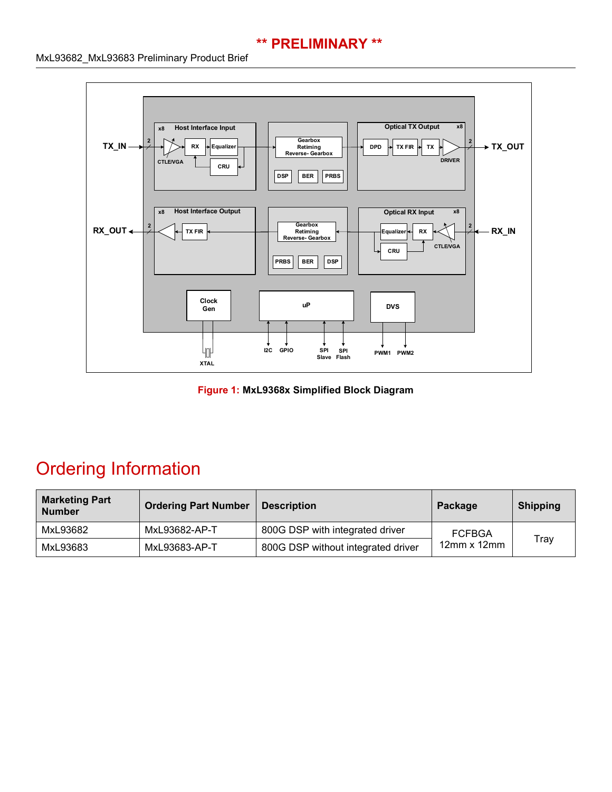#### **\*\* PRELIMINARY \*\***

#### MxL93682\_MxL93683 Preliminary Product Brief



**Figure 1: MxL9368x Simplified Block Diagram**

# Ordering Information

| <b>Marketing Part</b><br><b>Number</b> | <b>Ordering Part Number</b> | <b>Description</b>                 | Package                            | <b>Shipping</b> |
|----------------------------------------|-----------------------------|------------------------------------|------------------------------------|-----------------|
| MxL93682                               | MxL93682-AP-T               | 800G DSP with integrated driver    | <b>FCFBGA</b><br>$12$ mm x $12$ mm | Tray            |
| MxL93683                               | MxL93683-AP-T               | 800G DSP without integrated driver |                                    |                 |